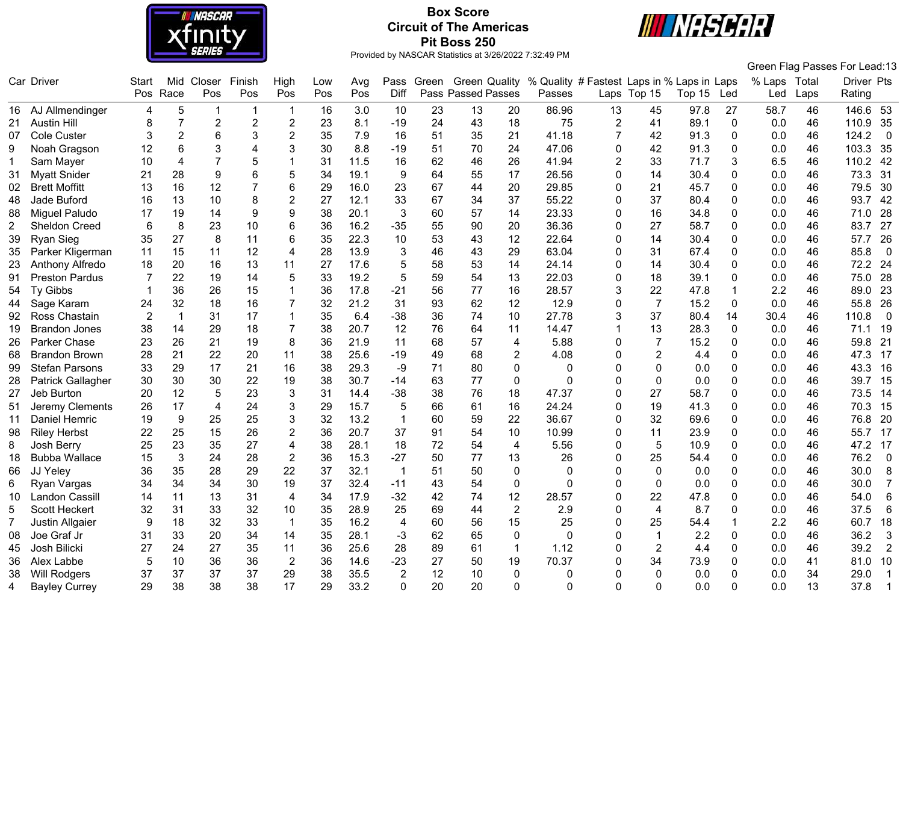

# **Box Score Circuit of The Americas Pit Boss 250**



|                |                       |                  |                |                 |                           |                         |     |      |                |       |                      |                |                                            |                |                |        |              |              |      | Green Flag Passes For Lead:13     |
|----------------|-----------------------|------------------|----------------|-----------------|---------------------------|-------------------------|-----|------|----------------|-------|----------------------|----------------|--------------------------------------------|----------------|----------------|--------|--------------|--------------|------|-----------------------------------|
|                | Car Driver            | Start            | Mid            | Closer          | Finish                    | High                    | Low | Avg  | Pass           | Green | <b>Green Quality</b> |                | % Quality # Fastest Laps in % Laps in Laps |                |                |        |              | % Laps Total |      | Driver Pts                        |
|                |                       | Pos              | Race           | Pos             | Pos                       | Pos                     | Pos | Pos  | Diff           |       | Pass Passed Passes   |                | Passes                                     |                | Laps Top 15    | Top 15 | Led          | Led          | Laps | Rating                            |
|                | 16 AJ Allmendinger    | 4                | 5              | $\mathbf 1$     | $\overline{1}$            | $\mathbf 1$             | 16  | 3.0  | 10             | 23    | 13                   | 20             | 86.96                                      | 13             | 45             | 97.8   | 27           | 58.7         | 46   | 146.6 53                          |
| 21             | <b>Austin Hill</b>    | 8                | $\overline{7}$ | $\overline{c}$  | $\overline{2}$            | $\boldsymbol{2}$        | 23  | 8.1  | $-19$          | 24    | 43                   | 18             | 75                                         | 2              | 41             | 89.1   | $\mathbf 0$  | 0.0          | 46   | 110.9<br>35                       |
| 07             | Cole Custer           | 3                | $\overline{c}$ | $6\phantom{1}6$ | $\ensuremath{\mathsf{3}}$ | $\overline{2}$          | 35  | 7.9  | 16             | 51    | 35                   | 21             | 41.18                                      | $\overline{7}$ | 42             | 91.3   | 0            | 0.0          | 46   | 124.2<br>$\overline{\mathbf{0}}$  |
| 9              | Noah Gragson          | 12               | 6              | 3               | 4                         | 3                       | 30  | 8.8  | $-19$          | 51    | 70                   | 24             | 47.06                                      | $\mathbf 0$    | 42             | 91.3   | $\Omega$     | 0.0          | 46   | 103.3<br>35                       |
|                | Sam Mayer             | 10               | 4              | $\overline{7}$  | 5                         |                         | 31  | 11.5 | 16             | 62    | 46                   | 26             | 41.94                                      | $\overline{2}$ | 33             | 71.7   | 3            | 6.5          | 46   | 110.2 42                          |
| 31             | <b>Myatt Snider</b>   | 21               | 28             | 9               | 6                         | 5                       | 34  | 19.1 | 9              | 64    | 55                   | 17             | 26.56                                      | $\Omega$       | 14             | 30.4   | $\Omega$     | 0.0          | 46   | 73.3<br>31                        |
| 02             | <b>Brett Moffitt</b>  | 13               | 16             | 12              | $\overline{7}$            | $6\phantom{1}$          | 29  | 16.0 | 23             | 67    | 44                   | 20             | 29.85                                      | 0              | 21             | 45.7   | $\Omega$     | 0.0          | 46   | 79.5<br>30                        |
| 48             | Jade Buford           | 16               | 13             | 10              | 8                         | $\overline{2}$          | 27  | 12.1 | 33             | 67    | 34                   | 37             | 55.22                                      | 0              | 37             | 80.4   | $\mathbf{0}$ | 0.0          | 46   | 93.7<br>42                        |
| 88             | <b>Miguel Paludo</b>  | 17               | 19             | 14              | $9\,$                     | $\boldsymbol{9}$        | 38  | 20.1 | 3              | 60    | 57                   | 14             | 23.33                                      | 0              | 16             | 34.8   | 0            | 0.0          | 46   | 28<br>71.0                        |
| $\overline{2}$ | <b>Sheldon Creed</b>  | 6                | 8              | 23              | 10                        | 6                       | 36  | 16.2 | $-35$          | 55    | 90                   | 20             | 36.36                                      | 0              | 27             | 58.7   | $\Omega$     | 0.0          | 46   | 83.7<br>27                        |
| 39             | Ryan Sieg             | 35               | 27             | 8               | 11                        | $6\phantom{1}$          | 35  | 22.3 | 10             | 53    | 43                   | 12             | 22.64                                      | $\Omega$       | 14             | 30.4   | $\Omega$     | 0.0          | 46   | 26<br>57.7                        |
| 35             | Parker Kligerman      | 11               | 15             | 11              | 12                        | $\overline{\mathbf{4}}$ | 28  | 13.9 | 3              | 46    | 43                   | 29             | 63.04                                      | 0              | 31             | 67.4   | 0            | 0.0          | 46   | 85.8<br>$\overline{0}$            |
| 23             | Anthony Alfredo       | 18               | 20             | 16              | 13                        | 11                      | 27  | 17.6 | 5              | 58    | 53                   | 14             | 24.14                                      | $\Omega$       | 14             | 30.4   | $\mathbf 0$  | 0.0          | 46   | 72.2<br>24                        |
| 91             | <b>Preston Pardus</b> | $\overline{7}$   | 22             | 19              | 14                        | 5                       | 33  | 19.2 | 5              | 59    | 54                   | 13             | 22.03                                      | $\Omega$       | 18             | 39.1   | $\Omega$     | 0.0          | 46   | 75.0<br>28                        |
| 54             | <b>Ty Gibbs</b>       |                  | 36             | 26              | 15                        |                         | 36  | 17.8 | $-21$          | 56    | 77                   | 16             | 28.57                                      | 3              | 22             | 47.8   | -1           | 2.2          | 46   | 89.0<br>23                        |
| 44             | Sage Karam            | 24               | 32             | 18              | 16                        |                         | 32  | 21.2 | 31             | 93    | 62                   | 12             | 12.9                                       | 0              | $\overline{7}$ | 15.2   | $\mathbf{0}$ | 0.0          | 46   | 26<br>55.8                        |
| 92             | Ross Chastain         | $\overline{2}$   | $\mathbf{1}$   | 31              | 17                        | $\mathbf{1}$            | 35  | 6.4  | $-38$          | 36    | 74                   | 10             | 27.78                                      | 3              | 37             | 80.4   | 14           | 30.4         | 46   | 110.8<br>$\overline{\phantom{0}}$ |
| 19             | <b>Brandon Jones</b>  | 38               | 14             | 29              | 18                        | $\overline{7}$          | 38  | 20.7 | 12             | 76    | 64                   | 11             | 14.47                                      | 1              | 13             | 28.3   | $\mathbf 0$  | 0.0          | 46   | 71.1<br>19                        |
| 26             | Parker Chase          | 23               | 26             | 21              | 19                        | 8                       | 36  | 21.9 | 11             | 68    | 57                   | 4              | 5.88                                       | 0              | 7              | 15.2   | $\Omega$     | 0.0          | 46   | 21<br>59.8                        |
| 68             | <b>Brandon Brown</b>  | 28               | 21             | 22              | 20                        | 11                      | 38  | 25.6 | $-19$          | 49    | 68                   | 2              | 4.08                                       | $\Omega$       | 2              | 4.4    | 0            | 0.0          | 46   | 17<br>47.3                        |
| 99             | <b>Stefan Parsons</b> | 33               | 29             | 17              | 21                        | 16                      | 38  | 29.3 | -9             | 71    | 80                   | $\pmb{0}$      | 0                                          | $\Omega$       | 0              | 0.0    | $\Omega$     | 0.0          | 46   | 43.3<br>16                        |
| 28             | Patrick Gallagher     | 30               | 30             | 30              | 22                        | 19                      | 38  | 30.7 | $-14$          | 63    | 77                   | 0              | $\mathbf 0$                                | $\Omega$       | 0              | 0.0    | $\Omega$     | 0.0          | 46   | 39.7<br>15                        |
| 27             | Jeb Burton            | 20               | 12             | 5               | 23                        | 3                       | 31  | 14.4 | $-38$          | 38    | 76                   | 18             | 47.37                                      | 0              | 27             | 58.7   | $\Omega$     | 0.0          | 46   | 73.5<br>14                        |
| 51             | Jeremy Clements       | 26               | 17             | $\overline{4}$  | 24                        | 3                       | 29  | 15.7 | 5              | 66    | 61                   | 16             | 24.24                                      | $\Omega$       | 19             | 41.3   | $\mathbf 0$  | 0.0          | 46   | 15<br>70.3                        |
| 11             | Daniel Hemric         | 19               | 9              | 25              | 25                        | 3                       | 32  | 13.2 | 1              | 60    | 59                   | 22             | 36.67                                      | $\Omega$       | 32             | 69.6   | $\Omega$     | 0.0          | 46   | 76.8<br>20                        |
| 98             | <b>Riley Herbst</b>   | 22               | 25             | 15              | 26                        | $\overline{2}$          | 36  | 20.7 | 37             | 91    | 54                   | 10             | 10.99                                      | $\Omega$       | 11             | 23.9   | $\Omega$     | 0.0          | 46   | 17<br>55.7                        |
| 8              | Josh Berry            | 25               | 23             | 35              | 27                        | $\overline{\mathbf{4}}$ | 38  | 28.1 | 18             | 72    | 54                   | 4              | 5.56                                       | 0              | 5              | 10.9   | 0            | 0.0          | 46   | 47.2<br>17                        |
| 18             | <b>Bubba Wallace</b>  | 15               | $\mathbf{3}$   | 24              | 28                        | $\sqrt{2}$              | 36  | 15.3 | $-27$          | 50    | 77                   | 13             | 26                                         | 0              | 25             | 54.4   | 0            | 0.0          | 46   | 76.2<br>$\overline{0}$            |
| 66             | JJ Yeley              | 36               | 35             | 28              | 29                        | 22                      | 37  | 32.1 | $\mathbf{1}$   | 51    | 50                   | $\mathbf 0$    | $\Omega$                                   | $\Omega$       | 0              | 0.0    | $\Omega$     | 0.0          | 46   | 30.0<br>8                         |
| 6              | Ryan Vargas           | 34               | 34             | 34              | 30                        | 19                      | 37  | 32.4 | $-11$          | 43    | 54                   | $\mathbf 0$    | 0                                          | $\Omega$       | $\mathbf 0$    | 0.0    | 0            | 0.0          | 46   | 30.0<br>$\overline{7}$            |
| 10             | Landon Cassill        | 14               | 11             | 13              | 31                        | $\overline{4}$          | 34  | 17.9 | $-32$          | 42    | 74                   | 12             | 28.57                                      | $\overline{0}$ | 22             | 47.8   | 0            | 0.0          | 46   | 54.0<br>$\,6$                     |
| 5              | Scott Heckert         | 32               | 31             | 33              | 32                        | 10                      | 35  | 28.9 | 25             | 69    | 44                   | $\overline{2}$ | 2.9                                        | $\Omega$       | $\overline{4}$ | 8.7    | $\Omega$     | 0.0          | 46   | 37.5<br>6                         |
| 7              | Justin Allgaier       | $\boldsymbol{9}$ | 18             | 32              | 33                        | $\overline{1}$          | 35  | 16.2 | 4              | 60    | 56                   | 15             | 25                                         | 0              | 25             | 54.4   | 1            | 2.2          | 46   | 60.7<br>18                        |
| 08             | Joe Graf Jr           | 31               | 33             | 20              | 34                        | 14                      | 35  | 28.1 | $-3$           | 62    | 65                   | $\pmb{0}$      | $\mathbf 0$                                | 0              |                | 2.2    | $\mathbf{0}$ | 0.0          | 46   | 36.2<br>3                         |
| 45             | Josh Bilicki          | 27               | 24             | 27              | 35                        | 11                      | 36  | 25.6 | 28             | 89    | 61                   | $\mathbf{1}$   | 1.12                                       | $\Omega$       | $\overline{2}$ | 4.4    | 0            | 0.0          | 46   | 39.2<br>$\overline{2}$            |
| 36             | Alex Labbe            |                  | 10             | 36              | 36                        | $\overline{2}$          | 36  | 14.6 | $-23$          | 27    | 50                   | 19             | 70.37                                      | $\Omega$       | 34             | 73.9   | $\Omega$     | 0.0          | 41   | 81.0<br>10                        |
| 38             | Will Rodgers          | 37               | 37             | 37              | 37                        | 29                      | 38  | 35.5 | $\overline{2}$ | 12    | 10                   | $\mathbf 0$    | 0                                          | 0              | 0              | 0.0    | $\Omega$     | 0.0          | 34   | 29.0<br>$\overline{1}$            |
| 4              | <b>Bayley Currey</b>  | 29               | 38             | 38              | 38                        | 17                      | 29  | 33.2 | $\Omega$       | 20    | 20                   | 0              | 0                                          | $\Omega$       | $\Omega$       | 0.0    | $\Omega$     | 0.0          | 13   | 37.8<br>-1                        |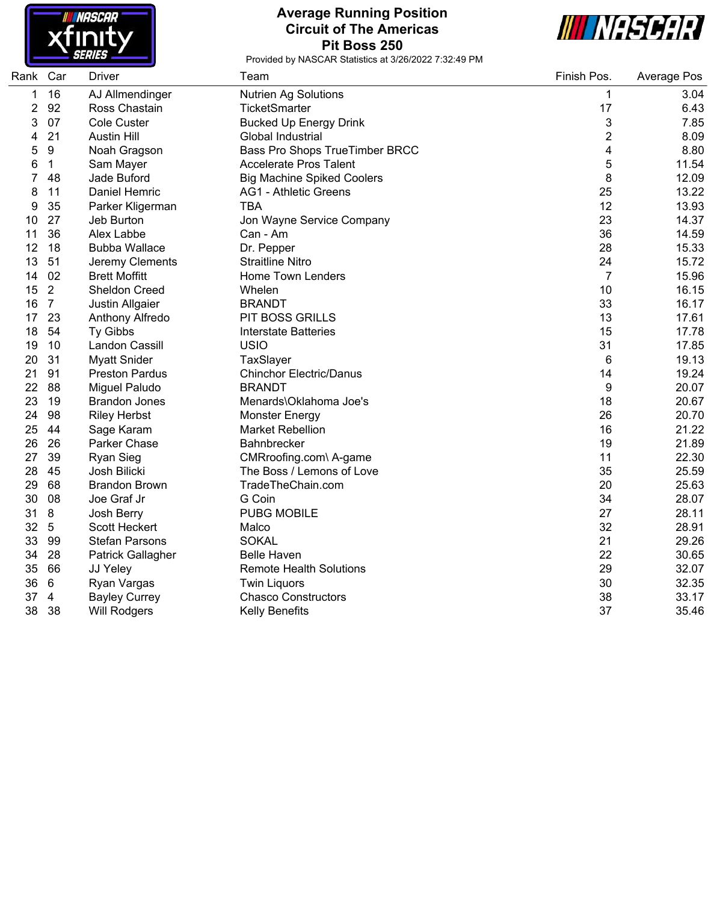

# **Average Running Position Circuit of The Americas Pit Boss 250**



| Rank | Car            | <b>Driver</b>         | Team                              | Finish Pos. | Average Pos |
|------|----------------|-----------------------|-----------------------------------|-------------|-------------|
| 1    | 16             | AJ Allmendinger       | <b>Nutrien Ag Solutions</b>       | 1           | 3.04        |
| 2    | 92             | Ross Chastain         | <b>TicketSmarter</b>              | 17          | 6.43        |
| 3    | 07             | Cole Custer           | <b>Bucked Up Energy Drink</b>     | 3           | 7.85        |
| 4    | 21             | <b>Austin Hill</b>    | Global Industrial                 | 2           | 8.09        |
| 5    | $9\,$          | Noah Gragson          | Bass Pro Shops TrueTimber BRCC    | 4           | 8.80        |
| 6    | $\mathbf{1}$   | Sam Mayer             | <b>Accelerate Pros Talent</b>     | 5           | 11.54       |
| 7    | 48             | Jade Buford           | <b>Big Machine Spiked Coolers</b> | 8           | 12.09       |
| 8    | 11             | Daniel Hemric         | <b>AG1 - Athletic Greens</b>      | 25          | 13.22       |
| 9    | 35             | Parker Kligerman      | <b>TBA</b>                        | 12          | 13.93       |
| 10   | 27             | Jeb Burton            | Jon Wayne Service Company         | 23          | 14.37       |
| 11   | 36             | Alex Labbe            | Can - Am                          | 36          | 14.59       |
| 12   | 18             | <b>Bubba Wallace</b>  | Dr. Pepper                        | 28          | 15.33       |
| 13   | 51             | Jeremy Clements       | <b>Straitline Nitro</b>           | 24          | 15.72       |
| 14   | 02             | <b>Brett Moffitt</b>  | Home Town Lenders                 | 7           | 15.96       |
| 15   | $\overline{2}$ | <b>Sheldon Creed</b>  | Whelen                            | 10          | 16.15       |
| 16   | $\overline{7}$ | Justin Allgaier       | <b>BRANDT</b>                     | 33          | 16.17       |
| 17   | 23             | Anthony Alfredo       | <b>PIT BOSS GRILLS</b>            | 13          | 17.61       |
| 18   | 54             | Ty Gibbs              | <b>Interstate Batteries</b>       | 15          | 17.78       |
| 19   | 10             | Landon Cassill        | <b>USIO</b>                       | 31          | 17.85       |
| 20   | 31             | <b>Myatt Snider</b>   | TaxSlayer                         | 6           | 19.13       |
| 21   | 91             | <b>Preston Pardus</b> | <b>Chinchor Electric/Danus</b>    | 14          | 19.24       |
| 22   | 88             | Miguel Paludo         | <b>BRANDT</b>                     | 9           | 20.07       |
| 23   | 19             | <b>Brandon Jones</b>  | Menards\Oklahoma Joe's            | 18          | 20.67       |
| 24   | 98             | <b>Riley Herbst</b>   | <b>Monster Energy</b>             | 26          | 20.70       |
| 25   | 44             | Sage Karam            | <b>Market Rebellion</b>           | 16          | 21.22       |
| 26   | 26             | Parker Chase          | <b>Bahnbrecker</b>                | 19          | 21.89       |
| 27   | 39             | <b>Ryan Sieg</b>      | CMRroofing.com\ A-game            | 11          | 22.30       |
| 28   | 45             | Josh Bilicki          | The Boss / Lemons of Love         | 35          | 25.59       |
| 29   | 68             | <b>Brandon Brown</b>  | TradeTheChain.com                 | 20          | 25.63       |
| 30   | 08             | Joe Graf Jr           | G Coin                            | 34          | 28.07       |
| 31   | 8              | Josh Berry            | <b>PUBG MOBILE</b>                | 27          | 28.11       |
| 32   | $\overline{5}$ | Scott Heckert         | Malco                             | 32          | 28.91       |
| 33   | 99             | <b>Stefan Parsons</b> | <b>SOKAL</b>                      | 21          | 29.26       |
| 34   | 28             | Patrick Gallagher     | <b>Belle Haven</b>                | 22          | 30.65       |
| 35   | 66             | JJ Yeley              | <b>Remote Health Solutions</b>    | 29          | 32.07       |
| 36   | 6              | Ryan Vargas           | <b>Twin Liquors</b>               | 30          | 32.35       |
| 37   | $\overline{4}$ | <b>Bayley Currey</b>  | <b>Chasco Constructors</b>        | 38          | 33.17       |
| 38   | 38             | <b>Will Rodgers</b>   | Kelly Benefits                    | 37          | 35.46       |
|      |                |                       |                                   |             |             |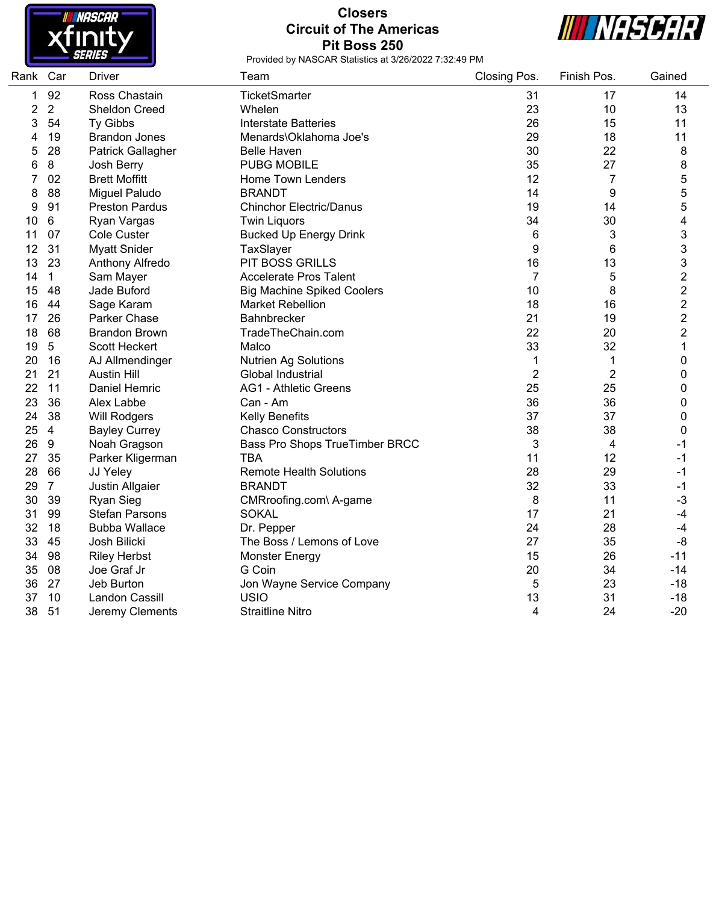

# **Closers Circuit of The Americas Pit Boss 250**



| Rank Car |                | Driver                | Team                              | Closing Pos.   | Finish Pos.    | Gained         |
|----------|----------------|-----------------------|-----------------------------------|----------------|----------------|----------------|
| 1        | 92             | Ross Chastain         | <b>TicketSmarter</b>              | 31             | 17             | 14             |
| 2        | $\overline{2}$ | <b>Sheldon Creed</b>  | Whelen                            | 23             | 10             | 13             |
| 3        | 54             | <b>Ty Gibbs</b>       | <b>Interstate Batteries</b>       | 26             | 15             | 11             |
| 4        | 19             | <b>Brandon Jones</b>  | Menards\Oklahoma Joe's            | 29             | 18             | 11             |
| 5        | 28             | Patrick Gallagher     | <b>Belle Haven</b>                | 30             | 22             | 8              |
| 6        | 8              | Josh Berry            | <b>PUBG MOBILE</b>                | 35             | 27             | 8              |
| 7        | 02             | <b>Brett Moffitt</b>  | Home Town Lenders                 | 12             | 7              | 5              |
| 8        | 88             | Miguel Paludo         | <b>BRANDT</b>                     | 14             | 9              | 5              |
| 9        | 91             | <b>Preston Pardus</b> | <b>Chinchor Electric/Danus</b>    | 19             | 14             | 5              |
| 10       | $\,6\,$        | Ryan Vargas           | <b>Twin Liquors</b>               | 34             | 30             | 4              |
| 11       | 07             | <b>Cole Custer</b>    | <b>Bucked Up Energy Drink</b>     | 6              | 3              | 3              |
| 12       | 31             | <b>Myatt Snider</b>   | TaxSlayer                         | 9              | 6              | 3              |
| 13       | 23             | Anthony Alfredo       | PIT BOSS GRILLS                   | 16             | 13             | 3              |
| 14       | $\mathbf{1}$   | Sam Mayer             | <b>Accelerate Pros Talent</b>     | $\overline{7}$ | 5              | $\overline{2}$ |
| 15       | 48             | Jade Buford           | <b>Big Machine Spiked Coolers</b> | 10             | 8              | $\overline{2}$ |
| 16       | 44             | Sage Karam            | <b>Market Rebellion</b>           | 18             | 16             | $\overline{2}$ |
| 17       | 26             | Parker Chase          | Bahnbrecker                       | 21             | 19             | $\overline{2}$ |
| 18       | 68             | <b>Brandon Brown</b>  | TradeTheChain.com                 | 22             | 20             | $\overline{2}$ |
| 19       | $\overline{5}$ | Scott Heckert         | Malco                             | 33             | 32             | $\mathbf 1$    |
| 20       | 16             | AJ Allmendinger       | <b>Nutrien Ag Solutions</b>       | 1              | $\mathbf 1$    | 0              |
| 21       | 21             | <b>Austin Hill</b>    | Global Industrial                 | $\overline{2}$ | $\overline{2}$ | 0              |
| 22       | 11             | Daniel Hemric         | <b>AG1 - Athletic Greens</b>      | 25             | 25             | 0              |
| 23       | 36             | Alex Labbe            | Can - Am                          | 36             | 36             | 0              |
| 24       | 38             | Will Rodgers          | Kelly Benefits                    | 37             | 37             | 0              |
| 25       | $\overline{4}$ | <b>Bayley Currey</b>  | <b>Chasco Constructors</b>        | 38             | 38             | 0              |
| 26       | 9              | Noah Gragson          | Bass Pro Shops TrueTimber BRCC    | 3              | 4              | -1             |
| 27       | 35             | Parker Kligerman      | <b>TBA</b>                        | 11             | 12             | -1             |
| 28       | 66             | JJ Yeley              | <b>Remote Health Solutions</b>    | 28             | 29             | $-1$           |
| 29       | $\overline{7}$ | Justin Allgaier       | <b>BRANDT</b>                     | 32             | 33             | $-1$           |
| 30       | 39             | <b>Ryan Sieg</b>      | CMRroofing.com\ A-game            | 8              | 11             | $-3$           |
| 31       | 99             | <b>Stefan Parsons</b> | <b>SOKAL</b>                      | 17             | 21             | $-4$           |
| 32       | 18             | <b>Bubba Wallace</b>  | Dr. Pepper                        | 24             | 28             | $-4$           |
| 33       | 45             | Josh Bilicki          | The Boss / Lemons of Love         | 27             | 35             | $-8$           |
| 34       | 98             | <b>Riley Herbst</b>   | <b>Monster Energy</b>             | 15             | 26             | $-11$          |
| 35       | 08             | Joe Graf Jr           | G Coin                            | 20             | 34             | $-14$          |
| 36       | 27             | Jeb Burton            | Jon Wayne Service Company         | 5              | 23             | $-18$          |
| 37       | 10             | Landon Cassill        | <b>USIO</b>                       | 13             | 31             | $-18$          |
| 38       | 51             | Jeremy Clements       | <b>Straitline Nitro</b>           | 4              | 24             | $-20$          |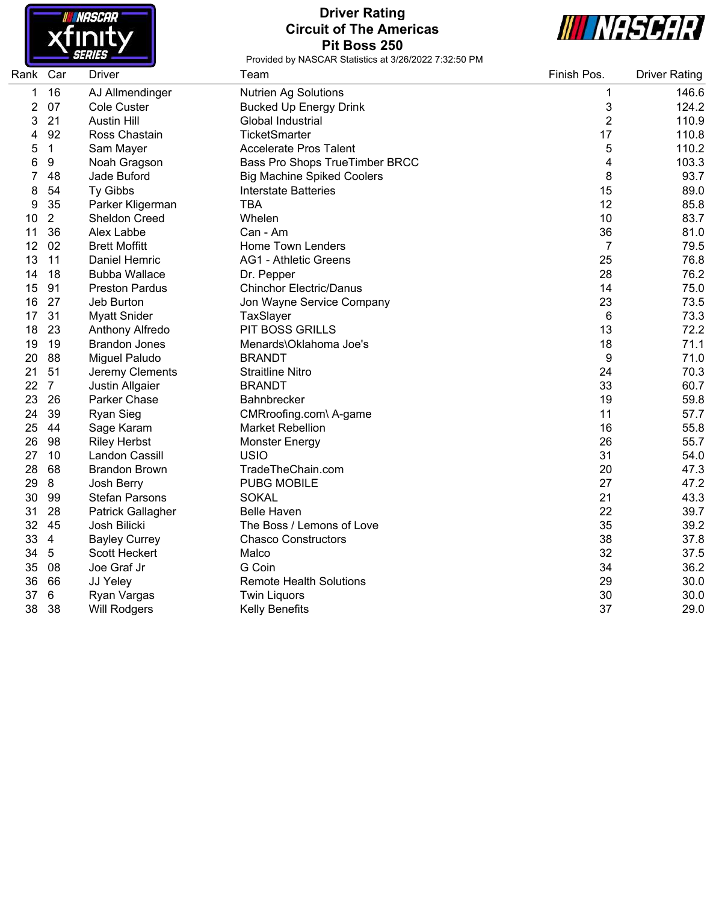

# **Driver Rating Circuit of The Americas Pit Boss 250**



| Rank Car |                | <b>Driver</b>            | Team                              | Finish Pos.    | <b>Driver Rating</b> |
|----------|----------------|--------------------------|-----------------------------------|----------------|----------------------|
| 1        | 16             | AJ Allmendinger          | <b>Nutrien Ag Solutions</b>       | 1              | 146.6                |
| 2        | 07             | <b>Cole Custer</b>       | <b>Bucked Up Energy Drink</b>     | 3              | 124.2                |
| 3        | 21             | <b>Austin Hill</b>       | Global Industrial                 | $\overline{2}$ | 110.9                |
| 4        | 92             | Ross Chastain            | <b>TicketSmarter</b>              | 17             | 110.8                |
| 5        | $\mathbf{1}$   | Sam Mayer                | <b>Accelerate Pros Talent</b>     | 5              | 110.2                |
| 6        | 9              | Noah Gragson             | Bass Pro Shops TrueTimber BRCC    | 4              | 103.3                |
|          | 48             | Jade Buford              | <b>Big Machine Spiked Coolers</b> | 8              | 93.7                 |
| 8        | 54             | Ty Gibbs                 | <b>Interstate Batteries</b>       | 15             | 89.0                 |
| 9        | 35             | Parker Kligerman         | <b>TBA</b>                        | 12             | 85.8                 |
| 10       | $\overline{2}$ | Sheldon Creed            | Whelen                            | 10             | 83.7                 |
| 11       | 36             | Alex Labbe               | Can - Am                          | 36             | 81.0                 |
| 12       | 02             | <b>Brett Moffitt</b>     | <b>Home Town Lenders</b>          | $\overline{7}$ | 79.5                 |
| 13       | 11             | Daniel Hemric            | <b>AG1 - Athletic Greens</b>      | 25             | 76.8                 |
| 14       | 18             | <b>Bubba Wallace</b>     | Dr. Pepper                        | 28             | 76.2                 |
| 15       | 91             | <b>Preston Pardus</b>    | <b>Chinchor Electric/Danus</b>    | 14             | 75.0                 |
| 16       | 27             | Jeb Burton               | Jon Wayne Service Company         | 23             | 73.5                 |
| 17       | 31             | <b>Myatt Snider</b>      | TaxSlayer                         | 6              | 73.3                 |
| 18       | 23             | Anthony Alfredo          | <b>PIT BOSS GRILLS</b>            | 13             | 72.2                 |
| 19       | 19             | <b>Brandon Jones</b>     | Menards\Oklahoma Joe's            | 18             | 71.1                 |
| 20       | 88             | Miguel Paludo            | <b>BRANDT</b>                     | 9              | 71.0                 |
| 21       | 51             | Jeremy Clements          | <b>Straitline Nitro</b>           | 24             | 70.3                 |
| 22       | $\overline{7}$ | Justin Allgaier          | <b>BRANDT</b>                     | 33             | 60.7                 |
| 23       | 26             | Parker Chase             | Bahnbrecker                       | 19             | 59.8                 |
| 24       | 39             | <b>Ryan Sieg</b>         | CMRroofing.com\ A-game            | 11             | 57.7                 |
| 25       | 44             | Sage Karam               | <b>Market Rebellion</b>           | 16             | 55.8                 |
| 26       | 98             | <b>Riley Herbst</b>      | <b>Monster Energy</b>             | 26             | 55.7                 |
| 27       | 10             | Landon Cassill           | <b>USIO</b>                       | 31             | 54.0                 |
| 28       | 68             | <b>Brandon Brown</b>     | TradeTheChain.com                 | 20             | 47.3                 |
| 29       | 8              | Josh Berry               | <b>PUBG MOBILE</b>                | 27             | 47.2                 |
| 30       | 99             | <b>Stefan Parsons</b>    | <b>SOKAL</b>                      | 21             | 43.3                 |
| 31       | 28             | <b>Patrick Gallagher</b> | <b>Belle Haven</b>                | 22             | 39.7                 |
| 32       | 45             | Josh Bilicki             | The Boss / Lemons of Love         | 35             | 39.2                 |
| 33       | $\overline{4}$ | <b>Bayley Currey</b>     | <b>Chasco Constructors</b>        | 38             | 37.8                 |
| 34       | 5              | Scott Heckert            | Malco                             | 32             | 37.5                 |
| 35       | 08             | Joe Graf Jr              | G Coin                            | 34             | 36.2                 |
| 36       | 66             | JJ Yeley                 | <b>Remote Health Solutions</b>    | 29             | 30.0                 |
| 37       | 6              | Ryan Vargas              | <b>Twin Liquors</b>               | 30             | 30.0                 |
| 38       | 38             | <b>Will Rodgers</b>      | <b>Kelly Benefits</b>             | 37             | 29.0                 |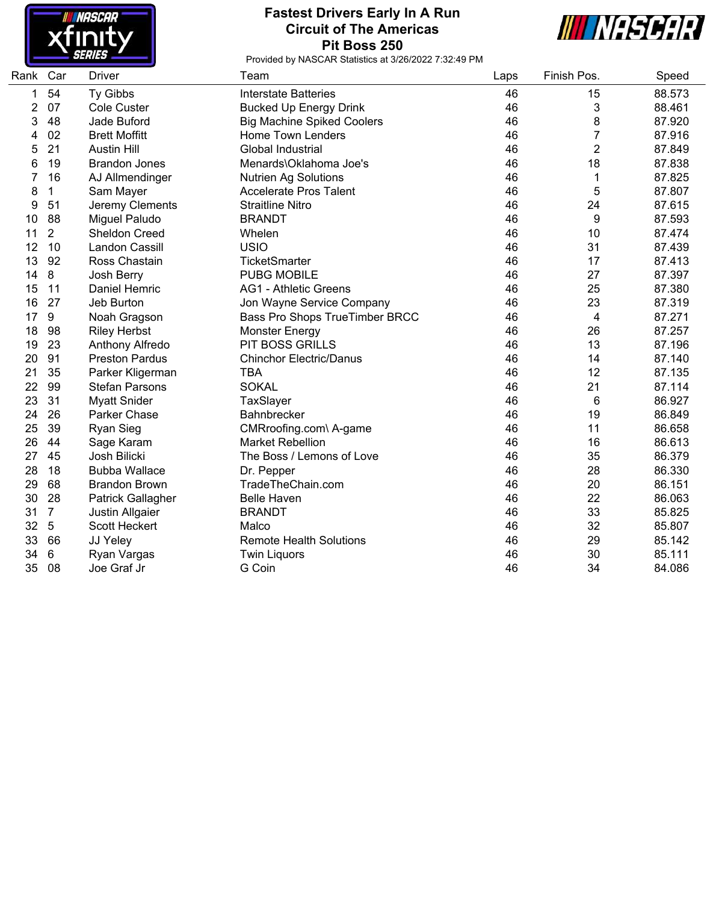

## **Fastest Drivers Early In A Run Circuit of The Americas Pit Boss 250**



| Rank | Car            | <b>Driver</b>         | Team                              | Laps | Finish Pos.    | Speed  |
|------|----------------|-----------------------|-----------------------------------|------|----------------|--------|
| 1    | 54             | Ty Gibbs              | <b>Interstate Batteries</b>       | 46   | 15             | 88.573 |
| 2    | 07             | Cole Custer           | <b>Bucked Up Energy Drink</b>     | 46   | 3              | 88.461 |
| 3    | 48             | Jade Buford           | <b>Big Machine Spiked Coolers</b> | 46   | 8              | 87.920 |
| 4    | 02             | <b>Brett Moffitt</b>  | <b>Home Town Lenders</b>          | 46   | 7              | 87.916 |
| 5    | 21             | <b>Austin Hill</b>    | Global Industrial                 | 46   | $\overline{2}$ | 87.849 |
| 6    | 19             | <b>Brandon Jones</b>  | Menards\Oklahoma Joe's            | 46   | 18             | 87.838 |
| 7    | 16             | AJ Allmendinger       | <b>Nutrien Ag Solutions</b>       | 46   | 1              | 87.825 |
| 8    | 1              | Sam Mayer             | <b>Accelerate Pros Talent</b>     | 46   | 5              | 87.807 |
| 9    | 51             | Jeremy Clements       | <b>Straitline Nitro</b>           | 46   | 24             | 87.615 |
| 10   | 88             | Miguel Paludo         | <b>BRANDT</b>                     | 46   | 9              | 87.593 |
| 11   | $\overline{2}$ | <b>Sheldon Creed</b>  | Whelen                            | 46   | 10             | 87.474 |
| 12   | 10             | Landon Cassill        | <b>USIO</b>                       | 46   | 31             | 87.439 |
| 13   | 92             | Ross Chastain         | TicketSmarter                     | 46   | 17             | 87.413 |
| 14   | 8              | Josh Berry            | <b>PUBG MOBILE</b>                | 46   | 27             | 87.397 |
| 15   | 11             | Daniel Hemric         | <b>AG1 - Athletic Greens</b>      | 46   | 25             | 87.380 |
| 16   | 27             | Jeb Burton            | Jon Wayne Service Company         | 46   | 23             | 87.319 |
| 17   | 9              | Noah Gragson          | Bass Pro Shops TrueTimber BRCC    | 46   | 4              | 87.271 |
| 18   | 98             | <b>Riley Herbst</b>   | <b>Monster Energy</b>             | 46   | 26             | 87.257 |
| 19   | 23             | Anthony Alfredo       | <b>PIT BOSS GRILLS</b>            | 46   | 13             | 87.196 |
| 20   | 91             | <b>Preston Pardus</b> | <b>Chinchor Electric/Danus</b>    | 46   | 14             | 87.140 |
| 21   | 35             | Parker Kligerman      | <b>TBA</b>                        | 46   | 12             | 87.135 |
| 22   | 99             | <b>Stefan Parsons</b> | <b>SOKAL</b>                      | 46   | 21             | 87.114 |
| 23   | 31             | <b>Myatt Snider</b>   | TaxSlayer                         | 46   | 6              | 86.927 |
| 24   | 26             | Parker Chase          | <b>Bahnbrecker</b>                | 46   | 19             | 86.849 |
| 25   | 39             | <b>Ryan Sieg</b>      | CMRroofing.com\ A-game            | 46   | 11             | 86.658 |
| 26   | 44             | Sage Karam            | <b>Market Rebellion</b>           | 46   | 16             | 86.613 |
| 27   | 45             | Josh Bilicki          | The Boss / Lemons of Love         | 46   | 35             | 86.379 |
| 28   | 18             | <b>Bubba Wallace</b>  | Dr. Pepper                        | 46   | 28             | 86.330 |
| 29   | 68             | <b>Brandon Brown</b>  | TradeTheChain.com                 | 46   | 20             | 86.151 |
| 30   | 28             | Patrick Gallagher     | <b>Belle Haven</b>                | 46   | 22             | 86.063 |
| 31   | $\overline{7}$ | Justin Allgaier       | <b>BRANDT</b>                     | 46   | 33             | 85.825 |
| 32   | 5              | Scott Heckert         | Malco                             | 46   | 32             | 85.807 |
| 33   | 66             | JJ Yeley              | <b>Remote Health Solutions</b>    | 46   | 29             | 85.142 |
| 34   | 6              | Ryan Vargas           | <b>Twin Liquors</b>               | 46   | 30             | 85.111 |
| 35   | 08             | Joe Graf Jr           | G Coin                            | 46   | 34             | 84.086 |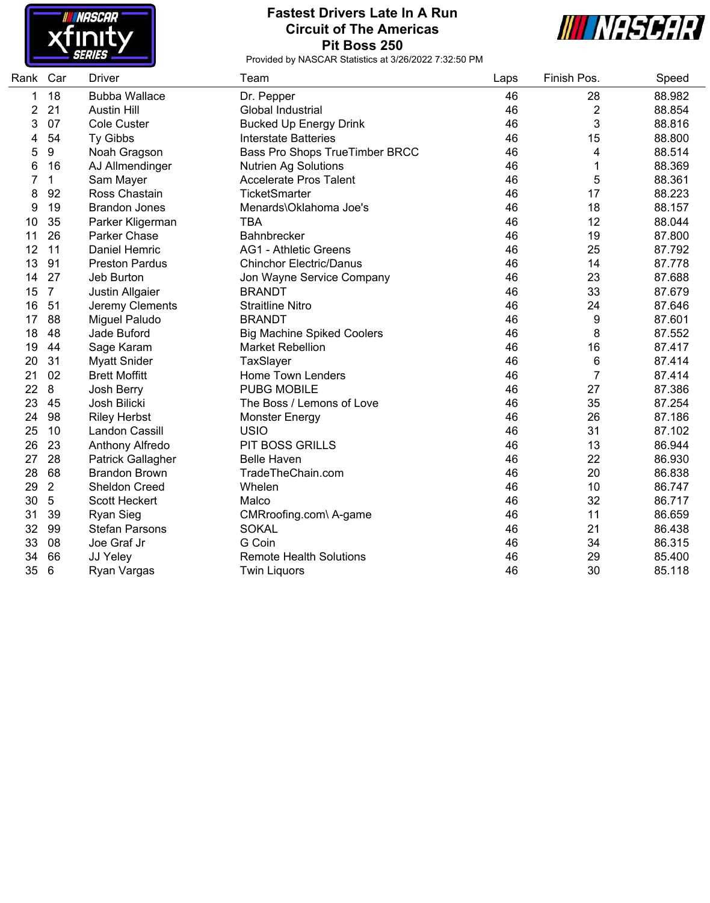

## **Fastest Drivers Late In A Run Circuit of The Americas Pit Boss 250**



| Rank | Car            | <b>Driver</b>            | Team                              | Laps | Finish Pos.    | Speed  |
|------|----------------|--------------------------|-----------------------------------|------|----------------|--------|
| 1    | 18             | <b>Bubba Wallace</b>     | Dr. Pepper                        | 46   | 28             | 88.982 |
| 2    | 21             | <b>Austin Hill</b>       | Global Industrial                 | 46   | $\overline{2}$ | 88.854 |
| 3    | 07             | <b>Cole Custer</b>       | <b>Bucked Up Energy Drink</b>     | 46   | 3              | 88.816 |
| 4    | 54             | <b>Ty Gibbs</b>          | <b>Interstate Batteries</b>       | 46   | 15             | 88.800 |
| 5    | 9              | Noah Gragson             | Bass Pro Shops TrueTimber BRCC    | 46   | 4              | 88.514 |
| 6    | 16             | AJ Allmendinger          | <b>Nutrien Ag Solutions</b>       | 46   | 1              | 88.369 |
| 7    | 1              | Sam Mayer                | <b>Accelerate Pros Talent</b>     | 46   | 5              | 88.361 |
| 8    | 92             | Ross Chastain            | <b>TicketSmarter</b>              | 46   | 17             | 88.223 |
| 9    | 19             | <b>Brandon Jones</b>     | Menards\Oklahoma Joe's            | 46   | 18             | 88.157 |
| 10   | 35             | Parker Kligerman         | <b>TBA</b>                        | 46   | 12             | 88.044 |
| 11   | 26             | Parker Chase             | Bahnbrecker                       | 46   | 19             | 87.800 |
| 12   | 11             | Daniel Hemric            | <b>AG1 - Athletic Greens</b>      | 46   | 25             | 87.792 |
| 13   | 91             | <b>Preston Pardus</b>    | <b>Chinchor Electric/Danus</b>    | 46   | 14             | 87.778 |
| 14   | 27             | Jeb Burton               | Jon Wayne Service Company         | 46   | 23             | 87.688 |
| 15   | $\overline{7}$ | Justin Allgaier          | <b>BRANDT</b>                     | 46   | 33             | 87.679 |
| 16   | 51             | Jeremy Clements          | <b>Straitline Nitro</b>           | 46   | 24             | 87.646 |
| 17   | 88             | Miguel Paludo            | <b>BRANDT</b>                     | 46   | 9              | 87.601 |
| 18   | 48             | Jade Buford              | <b>Big Machine Spiked Coolers</b> | 46   | 8              | 87.552 |
| 19   | 44             | Sage Karam               | <b>Market Rebellion</b>           | 46   | 16             | 87.417 |
| 20   | 31             | <b>Myatt Snider</b>      | TaxSlayer                         | 46   | 6              | 87.414 |
| 21   | 02             | <b>Brett Moffitt</b>     | <b>Home Town Lenders</b>          | 46   | $\overline{7}$ | 87.414 |
| 22   | 8              | Josh Berry               | <b>PUBG MOBILE</b>                | 46   | 27             | 87.386 |
| 23   | 45             | Josh Bilicki             | The Boss / Lemons of Love         | 46   | 35             | 87.254 |
| 24   | 98             | <b>Riley Herbst</b>      | <b>Monster Energy</b>             | 46   | 26             | 87.186 |
| 25   | 10             | Landon Cassill           | <b>USIO</b>                       | 46   | 31             | 87.102 |
| 26   | 23             | Anthony Alfredo          | PIT BOSS GRILLS                   | 46   | 13             | 86.944 |
| 27   | 28             | <b>Patrick Gallagher</b> | <b>Belle Haven</b>                | 46   | 22             | 86.930 |
| 28   | 68             | <b>Brandon Brown</b>     | TradeTheChain.com                 | 46   | 20             | 86.838 |
| 29   | $\overline{2}$ | Sheldon Creed            | Whelen                            | 46   | 10             | 86.747 |
| 30   | 5              | Scott Heckert            | Malco                             | 46   | 32             | 86.717 |
| 31   | 39             | <b>Ryan Sieg</b>         | CMRroofing.com\ A-game            | 46   | 11             | 86.659 |
| 32   | 99             | <b>Stefan Parsons</b>    | <b>SOKAL</b>                      | 46   | 21             | 86.438 |
| 33   | 08             | Joe Graf Jr              | G Coin                            | 46   | 34             | 86.315 |
| 34   | 66             | JJ Yeley                 | <b>Remote Health Solutions</b>    | 46   | 29             | 85.400 |
| 35   | 6              | Ryan Vargas              | <b>Twin Liquors</b>               | 46   | 30             | 85.118 |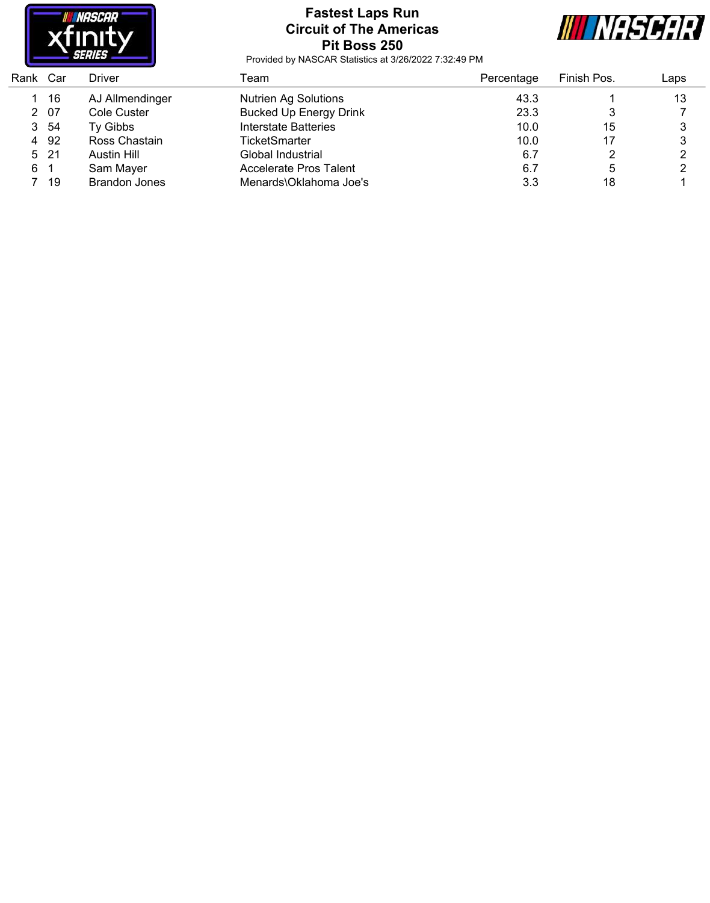

# **Fastest Laps Run Circuit of The Americas Pit Boss 250**



| Rank Car |      | Driver               | Team                          | Percentage | Finish Pos. | Laps |
|----------|------|----------------------|-------------------------------|------------|-------------|------|
|          | 1 16 | AJ Allmendinger      | <b>Nutrien Ag Solutions</b>   | 43.3       |             | 13   |
|          | 2 07 | Cole Custer          | <b>Bucked Up Energy Drink</b> | 23.3       |             |      |
|          | 3 54 | Ty Gibbs             | Interstate Batteries          | 10.0       | 15          |      |
|          | 4 92 | Ross Chastain        | <b>TicketSmarter</b>          | 10.0       | 17          |      |
|          | 5 21 | Austin Hill          | Global Industrial             | 6.7        |             |      |
| 61       |      | Sam Mayer            | Accelerate Pros Talent        | 6.7        |             |      |
|          | 7 19 | <b>Brandon Jones</b> | Menards\Oklahoma Joe's        | 3.3        | 18          |      |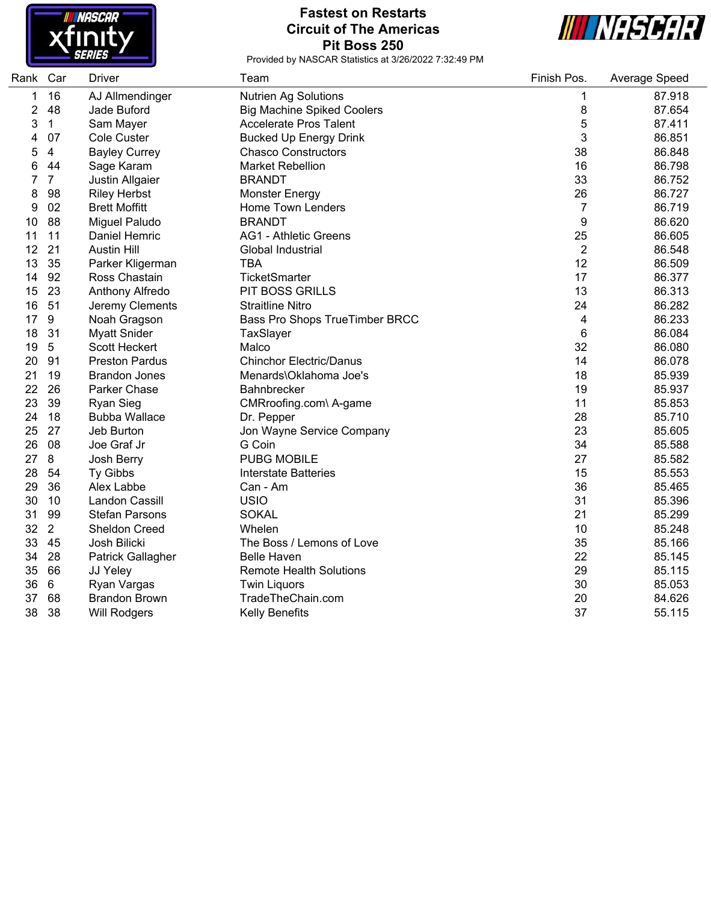

#### **Fastest on Restarts Circuit of The Americas Pit Boss 250**



| Rank Car |                | Driver                   | Team                              | Finish Pos.    | Average Speed |
|----------|----------------|--------------------------|-----------------------------------|----------------|---------------|
| 1        | 16             | AJ Allmendinger          | <b>Nutrien Ag Solutions</b>       | 1              | 87.918        |
| 2        | 48             | Jade Buford              | <b>Big Machine Spiked Coolers</b> | 8              | 87.654        |
| 3        | $\mathbf{1}$   | Sam Mayer                | <b>Accelerate Pros Talent</b>     | 5              | 87.411        |
| 4        | 07             | Cole Custer              | <b>Bucked Up Energy Drink</b>     | 3              | 86.851        |
| 5        | 4              | <b>Bayley Currey</b>     | <b>Chasco Constructors</b>        | 38             | 86.848        |
| 6        | 44             | Sage Karam               | <b>Market Rebellion</b>           | 16             | 86.798        |
| 7        | $\overline{7}$ | Justin Allgaier          | <b>BRANDT</b>                     | 33             | 86.752        |
| 8        | 98             | <b>Riley Herbst</b>      | <b>Monster Energy</b>             | 26             | 86.727        |
| 9        | 02             | <b>Brett Moffitt</b>     | Home Town Lenders                 | $\overline{7}$ | 86.719        |
| 10       | 88             | Miguel Paludo            | <b>BRANDT</b>                     | 9              | 86.620        |
| 11       | 11             | Daniel Hemric            | <b>AG1 - Athletic Greens</b>      | 25             | 86.605        |
| 12       | 21             | <b>Austin Hill</b>       | Global Industrial                 | $\overline{2}$ | 86.548        |
| 13       | 35             | Parker Kligerman         | <b>TBA</b>                        | 12             | 86.509        |
| 14       | 92             | Ross Chastain            | TicketSmarter                     | 17             | 86.377        |
| 15       | 23             | Anthony Alfredo          | PIT BOSS GRILLS                   | 13             | 86.313        |
| 16       | 51             | Jeremy Clements          | <b>Straitline Nitro</b>           | 24             | 86.282        |
| 17       | 9              | Noah Gragson             | Bass Pro Shops TrueTimber BRCC    | 4              | 86.233        |
| 18       | 31             | <b>Myatt Snider</b>      | TaxSlayer                         | 6              | 86.084        |
| 19       | 5              | <b>Scott Heckert</b>     | Malco                             | 32             | 86.080        |
| 20       | 91             | <b>Preston Pardus</b>    | <b>Chinchor Electric/Danus</b>    | 14             | 86.078        |
| 21       | 19             | <b>Brandon Jones</b>     | Menards\Oklahoma Joe's            | 18             | 85.939        |
| 22       | 26             | Parker Chase             | <b>Bahnbrecker</b>                | 19             | 85.937        |
| 23       | 39             | <b>Ryan Sieg</b>         | CMRroofing.com\ A-game            | 11             | 85.853        |
| 24       | 18             | <b>Bubba Wallace</b>     | Dr. Pepper                        | 28             | 85.710        |
| 25       | 27             | Jeb Burton               | Jon Wayne Service Company         | 23             | 85.605        |
| 26       | 08             | Joe Graf Jr              | G Coin                            | 34             | 85.588        |
| 27       | 8              | Josh Berry               | <b>PUBG MOBILE</b>                | 27             | 85.582        |
| 28       | 54             | Ty Gibbs                 | <b>Interstate Batteries</b>       | 15             | 85.553        |
| 29       | 36             | Alex Labbe               | Can - Am                          | 36             | 85.465        |
| 30       | 10             | Landon Cassill           | <b>USIO</b>                       | 31             | 85.396        |
| 31       | 99             | <b>Stefan Parsons</b>    | <b>SOKAL</b>                      | 21             | 85.299        |
| 32       | $\overline{2}$ | <b>Sheldon Creed</b>     | Whelen                            | 10             | 85.248        |
| 33       | 45             | Josh Bilicki             | The Boss / Lemons of Love         | 35             | 85.166        |
| 34       | 28             | <b>Patrick Gallagher</b> | <b>Belle Haven</b>                | 22             | 85.145        |
| 35       | 66             | JJ Yeley                 | <b>Remote Health Solutions</b>    | 29             | 85.115        |
| 36       | 6              | Ryan Vargas              | <b>Twin Liquors</b>               | 30             | 85.053        |
| 37       | 68             | <b>Brandon Brown</b>     | TradeTheChain.com                 | 20             | 84.626        |
| 38       | 38             | <b>Will Rodgers</b>      | <b>Kelly Benefits</b>             | 37             | 55.115        |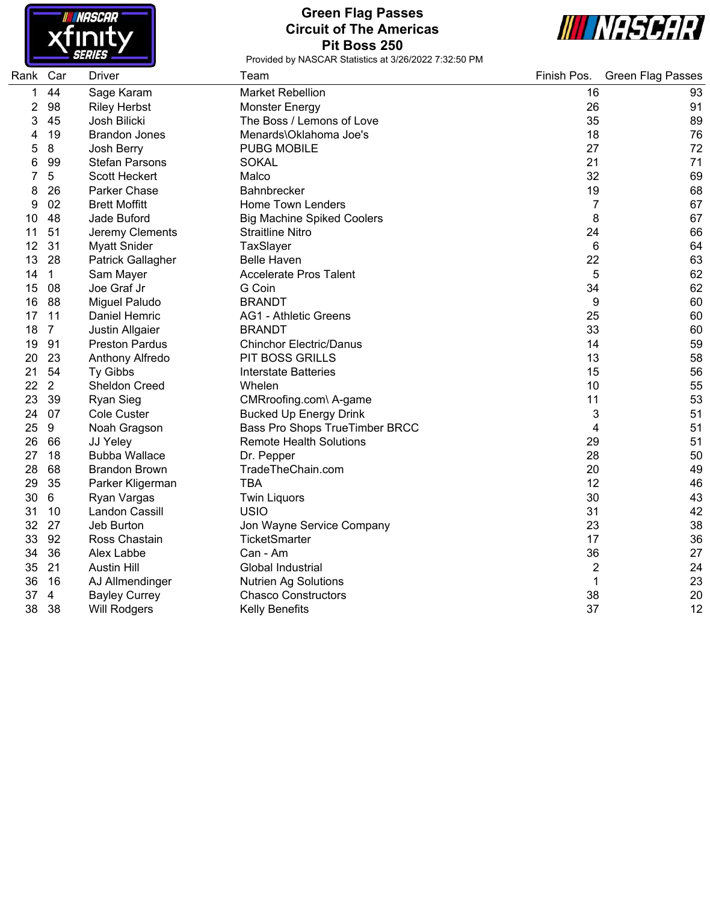

# **Green Flag Passes Circuit of The Americas Pit Boss 250**



| Rank | Car            | <b>Driver</b>          | Team                              | Finish Pos.    | <b>Green Flag Passes</b> |
|------|----------------|------------------------|-----------------------------------|----------------|--------------------------|
| 1    | 44             | Sage Karam             | <b>Market Rebellion</b>           | 16             | 93                       |
| 2    | 98             | <b>Riley Herbst</b>    | Monster Energy                    | 26             | 91                       |
| 3    | 45             | Josh Bilicki           | The Boss / Lemons of Love         | 35             | 89                       |
| 4    | 19             | <b>Brandon Jones</b>   | Menards\Oklahoma Joe's            | 18             | 76                       |
| 5    | $\bf 8$        | Josh Berry             | <b>PUBG MOBILE</b>                | 27             | 72                       |
| 6    | 99             | <b>Stefan Parsons</b>  | <b>SOKAL</b>                      | 21             | 71                       |
| 7    | 5              | Scott Heckert          | Malco                             | 32             | 69                       |
| 8    | 26             | Parker Chase           | <b>Bahnbrecker</b>                | 19             | 68                       |
| 9    | 02             | <b>Brett Moffitt</b>   | <b>Home Town Lenders</b>          | 7              | 67                       |
| 10   | 48             | Jade Buford            | <b>Big Machine Spiked Coolers</b> | 8              | 67                       |
| 11   | 51             | Jeremy Clements        | <b>Straitline Nitro</b>           | 24             | 66                       |
| 12   | 31             | <b>Myatt Snider</b>    | TaxSlayer                         | 6              | 64                       |
| 13   | 28             | Patrick Gallagher      | <b>Belle Haven</b>                | 22             | 63                       |
| 14   | $\mathbf 1$    | Sam Mayer              | <b>Accelerate Pros Talent</b>     | 5              | 62                       |
| 15   | 08             | Joe Graf Jr            | G Coin                            | 34             | 62                       |
| 16   | 88             | Miguel Paludo          | <b>BRANDT</b>                     | 9              | 60                       |
| 17   | 11             | Daniel Hemric          | <b>AG1 - Athletic Greens</b>      | 25             | 60                       |
| 18   | $\overline{7}$ | <b>Justin Allgaier</b> | <b>BRANDT</b>                     | 33             | 60                       |
| 19   | 91             | <b>Preston Pardus</b>  | <b>Chinchor Electric/Danus</b>    | 14             | 59                       |
| 20   | 23             | Anthony Alfredo        | <b>PIT BOSS GRILLS</b>            | 13             | 58                       |
| 21   | 54             | Ty Gibbs               | Interstate Batteries              | 15             | 56                       |
| 22   | 2              | <b>Sheldon Creed</b>   | Whelen                            | 10             | 55                       |
| 23   | 39             | <b>Ryan Sieg</b>       | CMRroofing.com\ A-game            | 11             | 53                       |
| 24   | 07             | Cole Custer            | <b>Bucked Up Energy Drink</b>     | 3              | 51                       |
| 25   | 9              | Noah Gragson           | Bass Pro Shops TrueTimber BRCC    | 4              | 51                       |
| 26   | 66             | JJ Yeley               | <b>Remote Health Solutions</b>    | 29             | 51                       |
| 27   | 18             | <b>Bubba Wallace</b>   | Dr. Pepper                        | 28             | 50                       |
| 28   | 68             | <b>Brandon Brown</b>   | TradeTheChain.com                 | 20             | 49                       |
| 29   | 35             | Parker Kligerman       | <b>TBA</b>                        | 12             | 46                       |
| 30   | 6              | Ryan Vargas            | <b>Twin Liquors</b>               | 30             | 43                       |
| 31   | 10             | Landon Cassill         | <b>USIO</b>                       | 31             | 42                       |
| 32   | 27             | Jeb Burton             | Jon Wayne Service Company         | 23             | 38                       |
| 33   | 92             | Ross Chastain          | TicketSmarter                     | 17             | 36                       |
| 34   | 36             | Alex Labbe             | Can - Am                          | 36             | 27                       |
| 35   | 21             | <b>Austin Hill</b>     | Global Industrial                 | $\overline{2}$ | 24                       |
| 36   | 16             | AJ Allmendinger        | <b>Nutrien Ag Solutions</b>       | 1              | 23                       |
| 37   | $\overline{4}$ | <b>Bayley Currey</b>   | <b>Chasco Constructors</b>        | 38             | 20                       |
| 38   | 38             | <b>Will Rodgers</b>    | <b>Kelly Benefits</b>             | 37             | 12                       |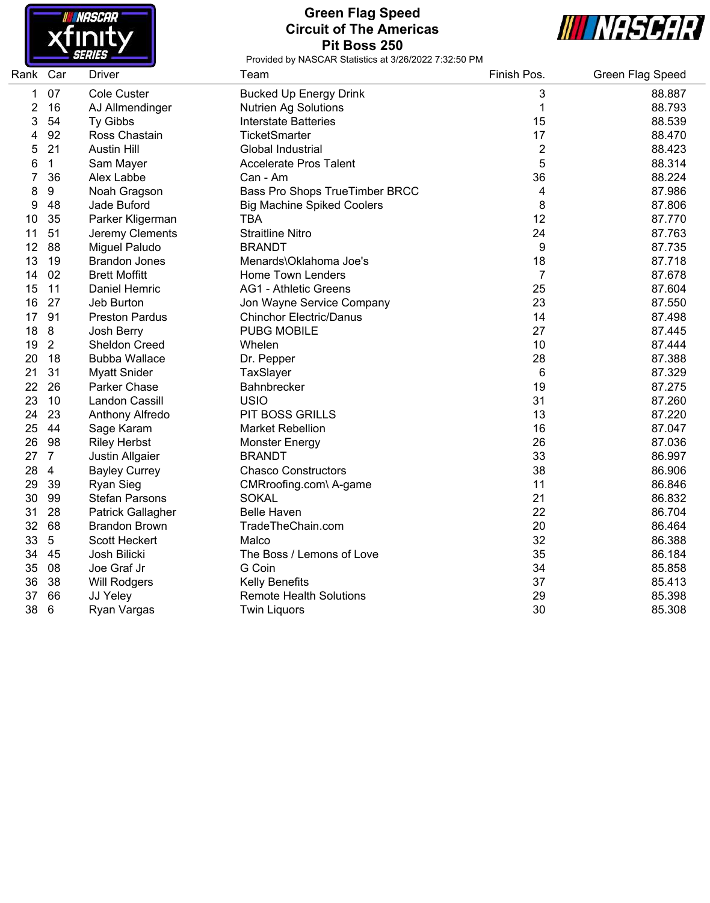

# **Green Flag Speed Circuit of The Americas Pit Boss 250**



| Rank Car |                  | <b>Driver</b>         | Team                              | Finish Pos.    | <b>Green Flag Speed</b> |
|----------|------------------|-----------------------|-----------------------------------|----------------|-------------------------|
| 1        | 07               | <b>Cole Custer</b>    | <b>Bucked Up Energy Drink</b>     | 3              | 88.887                  |
| 2        | 16               | AJ Allmendinger       | <b>Nutrien Ag Solutions</b>       | 1              | 88.793                  |
| 3        | 54               | Ty Gibbs              | <b>Interstate Batteries</b>       | 15             | 88.539                  |
| 4        | 92               | Ross Chastain         | TicketSmarter                     | 17             | 88.470                  |
| 5        | 21               | <b>Austin Hill</b>    | Global Industrial                 | $\overline{2}$ | 88.423                  |
| 6        | $\mathbf 1$      | Sam Mayer             | <b>Accelerate Pros Talent</b>     | 5              | 88.314                  |
| 7        | 36               | Alex Labbe            | Can - Am                          | 36             | 88.224                  |
| 8        | $\boldsymbol{9}$ | Noah Gragson          | Bass Pro Shops TrueTimber BRCC    | 4              | 87.986                  |
| 9        | 48               | Jade Buford           | <b>Big Machine Spiked Coolers</b> | 8              | 87.806                  |
| 10       | 35               | Parker Kligerman      | <b>TBA</b>                        | 12             | 87.770                  |
| 11       | 51               | Jeremy Clements       | <b>Straitline Nitro</b>           | 24             | 87.763                  |
| 12       | 88               | Miguel Paludo         | <b>BRANDT</b>                     | 9              | 87.735                  |
| 13       | 19               | <b>Brandon Jones</b>  | Menards\Oklahoma Joe's            | 18             | 87.718                  |
| 14       | 02               | <b>Brett Moffitt</b>  | Home Town Lenders                 | $\overline{7}$ | 87.678                  |
| 15       | 11               | Daniel Hemric         | <b>AG1 - Athletic Greens</b>      | 25             | 87.604                  |
| 16       | 27               | Jeb Burton            | Jon Wayne Service Company         | 23             | 87.550                  |
| 17       | 91               | <b>Preston Pardus</b> | <b>Chinchor Electric/Danus</b>    | 14             | 87.498                  |
| 18       | 8                | Josh Berry            | <b>PUBG MOBILE</b>                | 27             | 87.445                  |
| 19       | $\overline{2}$   | <b>Sheldon Creed</b>  | Whelen                            | 10             | 87.444                  |
| 20       | 18               | <b>Bubba Wallace</b>  | Dr. Pepper                        | 28             | 87.388                  |
| 21       | 31               | <b>Myatt Snider</b>   | TaxSlayer                         | 6              | 87.329                  |
| 22       | 26               | Parker Chase          | Bahnbrecker                       | 19             | 87.275                  |
| 23       | 10               | Landon Cassill        | <b>USIO</b>                       | 31             | 87.260                  |
| 24       | 23               | Anthony Alfredo       | PIT BOSS GRILLS                   | 13             | 87.220                  |
| 25       | 44               | Sage Karam            | <b>Market Rebellion</b>           | 16             | 87.047                  |
| 26       | 98               | <b>Riley Herbst</b>   | <b>Monster Energy</b>             | 26             | 87.036                  |
| 27       | $\overline{7}$   | Justin Allgaier       | <b>BRANDT</b>                     | 33             | 86.997                  |
| 28       | $\overline{4}$   | <b>Bayley Currey</b>  | <b>Chasco Constructors</b>        | 38             | 86.906                  |
| 29       | 39               | <b>Ryan Sieg</b>      | CMRroofing.com\ A-game            | 11             | 86.846                  |
| 30       | 99               | <b>Stefan Parsons</b> | <b>SOKAL</b>                      | 21             | 86.832                  |
| 31       | 28               | Patrick Gallagher     | <b>Belle Haven</b>                | 22             | 86.704                  |
| 32       | 68               | <b>Brandon Brown</b>  | TradeTheChain.com                 | 20             | 86.464                  |
| 33       | 5                | Scott Heckert         | Malco                             | 32             | 86.388                  |
| 34       | 45               | Josh Bilicki          | The Boss / Lemons of Love         | 35             | 86.184                  |
| 35       | 08               | Joe Graf Jr           | G Coin                            | 34             | 85.858                  |
| 36       | 38               | Will Rodgers          | <b>Kelly Benefits</b>             | 37             | 85.413                  |
| 37       | 66               | JJ Yeley              | <b>Remote Health Solutions</b>    | 29             | 85.398                  |
| 38       | 6                | Ryan Vargas           | <b>Twin Liquors</b>               | 30             | 85.308                  |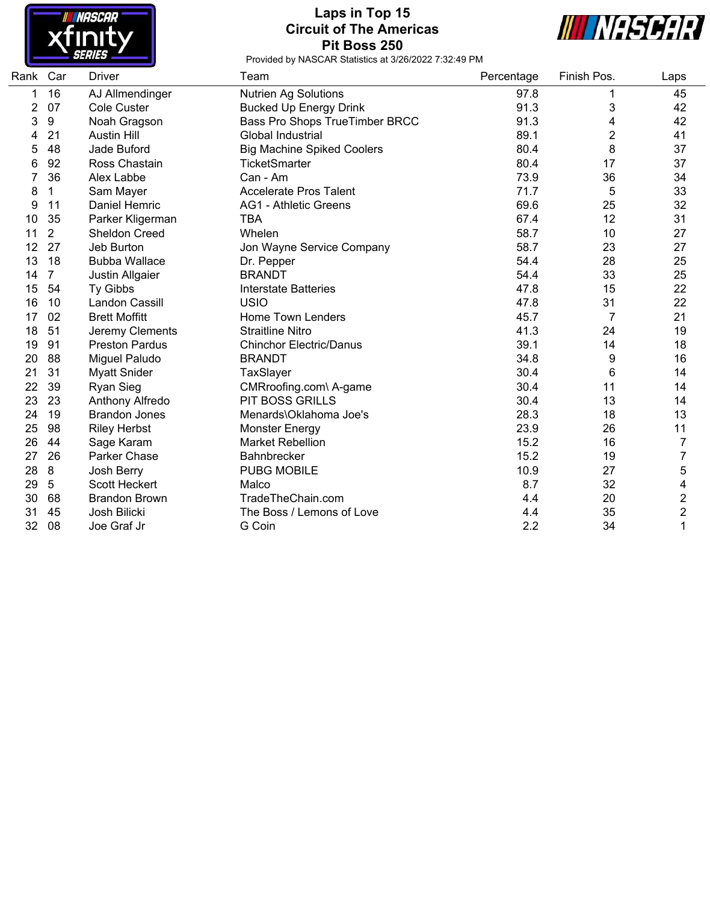

# **Laps in Top 15 Circuit of The Americas Pit Boss 250**



| Rank | Car            | <b>Driver</b>         | Team                              | Percentage | Finish Pos.    | Laps |
|------|----------------|-----------------------|-----------------------------------|------------|----------------|------|
| 1    | 16             | AJ Allmendinger       | <b>Nutrien Ag Solutions</b>       | 97.8       |                | 45   |
| 2    | 07             | <b>Cole Custer</b>    | <b>Bucked Up Energy Drink</b>     | 91.3       | 3              | 42   |
| 3    | 9              | Noah Gragson          | Bass Pro Shops TrueTimber BRCC    | 91.3       | 4              | 42   |
| 4    | 21             | <b>Austin Hill</b>    | Global Industrial                 | 89.1       | $\overline{c}$ | 41   |
| 5    | 48             | Jade Buford           | <b>Big Machine Spiked Coolers</b> | 80.4       | 8              | 37   |
| 6    | 92             | Ross Chastain         | <b>TicketSmarter</b>              | 80.4       | 17             | 37   |
| 7    | 36             | Alex Labbe            | Can - Am                          | 73.9       | 36             | 34   |
| 8    | 1              | Sam Mayer             | <b>Accelerate Pros Talent</b>     | 71.7       | 5              | 33   |
| 9    | 11             | Daniel Hemric         | AG1 - Athletic Greens             | 69.6       | 25             | 32   |
| 10   | 35             | Parker Kligerman      | <b>TBA</b>                        | 67.4       | 12             | 31   |
| 11   | $\overline{2}$ | Sheldon Creed         | Whelen                            | 58.7       | 10             | 27   |
| 12   | 27             | Jeb Burton            | Jon Wayne Service Company         | 58.7       | 23             | 27   |
| 13   | 18             | <b>Bubba Wallace</b>  | Dr. Pepper                        | 54.4       | 28             | 25   |
| 14   | $\overline{7}$ | Justin Allgaier       | <b>BRANDT</b>                     | 54.4       | 33             | 25   |
| 15   | 54             | Ty Gibbs              | <b>Interstate Batteries</b>       | 47.8       | 15             | 22   |
| 16   | 10             | Landon Cassill        | <b>USIO</b>                       | 47.8       | 31             | 22   |
| 17   | 02             | <b>Brett Moffitt</b>  | <b>Home Town Lenders</b>          | 45.7       | 7              | 21   |
| 18   | 51             | Jeremy Clements       | <b>Straitline Nitro</b>           | 41.3       | 24             | 19   |
| 19   | 91             | <b>Preston Pardus</b> | <b>Chinchor Electric/Danus</b>    | 39.1       | 14             | 18   |
| 20   | 88             | Miguel Paludo         | <b>BRANDT</b>                     | 34.8       | 9              | 16   |
| 21   | 31             | <b>Myatt Snider</b>   | TaxSlayer                         | 30.4       | 6              | 14   |
| 22   | 39             | Ryan Sieg             | CMRroofing.com\ A-game            | 30.4       | 11             | 14   |
| 23   | 23             | Anthony Alfredo       | PIT BOSS GRILLS                   | 30.4       | 13             | 14   |
| 24   | 19             | <b>Brandon Jones</b>  | Menards\Oklahoma Joe's            | 28.3       | 18             | 13   |
| 25   | 98             | <b>Riley Herbst</b>   | Monster Energy                    | 23.9       | 26             | 11   |
| 26   | 44             | Sage Karam            | <b>Market Rebellion</b>           | 15.2       | 16             | 7    |
| 27   | 26             | Parker Chase          | Bahnbrecker                       | 15.2       | 19             | 7    |
| 28   | $\bf 8$        | Josh Berry            | <b>PUBG MOBILE</b>                | 10.9       | 27             | 5    |
| 29   | 5              | <b>Scott Heckert</b>  | Malco                             | 8.7        | 32             | 4    |
| 30   | 68             | <b>Brandon Brown</b>  | TradeTheChain.com                 | 4.4        | 20             | 2    |
| 31   | 45             | Josh Bilicki          | The Boss / Lemons of Love         | 4.4        | 35             | 2    |
| 32   | 08             | Joe Graf Jr           | G Coin                            | 2.2        | 34             | 1    |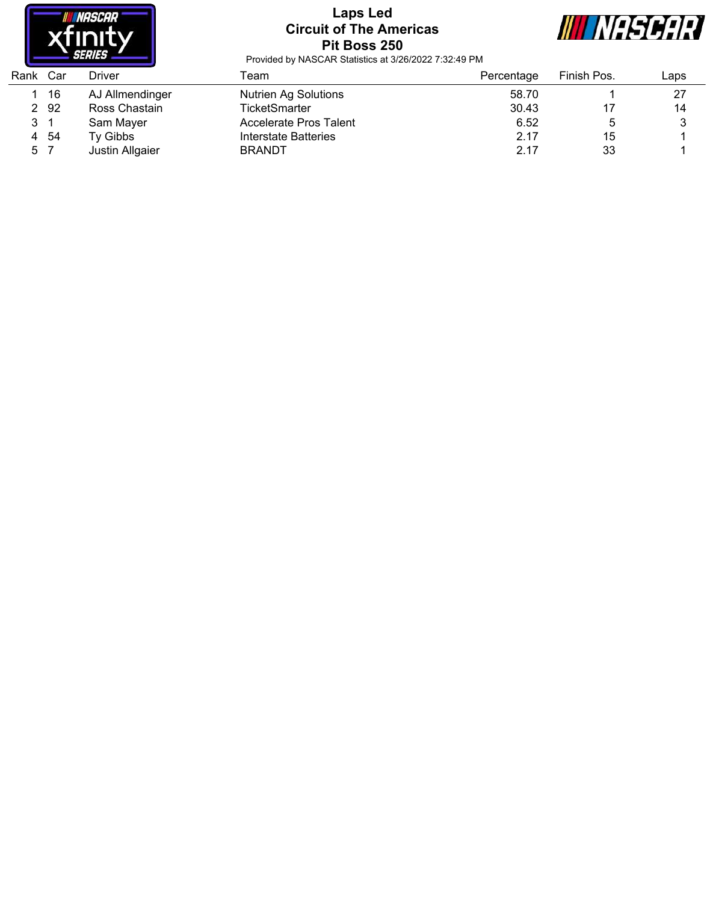

# **Laps Led Circuit of The Americas Pit Boss 250**



| Rank | Car | Driver          | Геаm                        | Percentage | Finish Pos. | Laps |
|------|-----|-----------------|-----------------------------|------------|-------------|------|
|      | 16  | AJ Allmendinger | <b>Nutrien Ag Solutions</b> | 58.70      |             | 27   |
| 2    | -92 | Ross Chastain   | TicketSmarter               | 30.43      |             | 14   |
| 3 1  |     | Sam Mayer       | Accelerate Pros Talent      | 6.52       |             |      |
| 4    | -54 | Tv Gibbs        | Interstate Batteries        | 2.17       | 15          |      |
| 5 7  |     | Justin Allgaier | <b>BRANDT</b>               | 2.17       | 33          |      |
|      |     |                 |                             |            |             |      |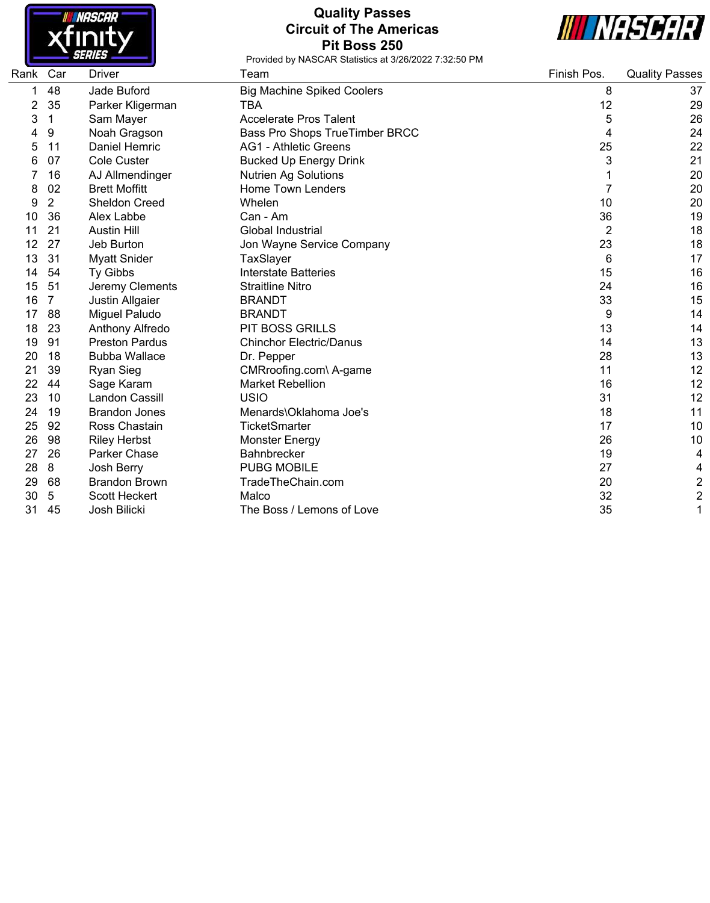

## **Quality Passes Circuit of The Americas Pit Boss 250**



| Rank | Car | Driver                | Team                              | Finish Pos. | <b>Quality Passes</b>   |
|------|-----|-----------------------|-----------------------------------|-------------|-------------------------|
|      | 48  | Jade Buford           | <b>Big Machine Spiked Coolers</b> | 8           | 37                      |
| 2    | 35  | Parker Kligerman      | TBA                               | 12          | 29                      |
| 3    | 1   | Sam Mayer             | Accelerate Pros Talent            | 5           | 26                      |
|      | 9   | Noah Gragson          | Bass Pro Shops TrueTimber BRCC    | 4           | 24                      |
| 5    | 11  | Daniel Hemric         | <b>AG1 - Athletic Greens</b>      | 25          | 22                      |
| 6    | 07  | <b>Cole Custer</b>    | <b>Bucked Up Energy Drink</b>     | 3           | 21                      |
|      | 16  | AJ Allmendinger       | <b>Nutrien Ag Solutions</b>       |             | 20                      |
| 8    | 02  | <b>Brett Moffitt</b>  | <b>Home Town Lenders</b>          | 7           | 20                      |
| 9    | 2   | Sheldon Creed         | Whelen                            | 10          | 20                      |
| 10   | 36  | Alex Labbe            | Can - Am                          | 36          | 19                      |
| 11   | 21  | <b>Austin Hill</b>    | <b>Global Industrial</b>          | 2           | 18                      |
| 12   | 27  | Jeb Burton            | Jon Wayne Service Company         | 23          | 18                      |
| 13   | 31  | <b>Myatt Snider</b>   | TaxSlayer                         | 6           | 17                      |
| 14   | 54  | Ty Gibbs              | <b>Interstate Batteries</b>       | 15          | 16                      |
| 15   | 51  | Jeremy Clements       | <b>Straitline Nitro</b>           | 24          | 16                      |
| 16   | 7   | Justin Allgaier       | <b>BRANDT</b>                     | 33          | 15                      |
| 17   | 88  | Miguel Paludo         | <b>BRANDT</b>                     | 9           | 14                      |
| 18   | 23  | Anthony Alfredo       | <b>PIT BOSS GRILLS</b>            | 13          | 14                      |
| 19   | 91  | <b>Preston Pardus</b> | <b>Chinchor Electric/Danus</b>    | 14          | 13                      |
| 20   | 18  | <b>Bubba Wallace</b>  | Dr. Pepper                        | 28          | 13                      |
| 21   | 39  | <b>Ryan Sieg</b>      | CMRroofing.com\ A-game            | 11          | 12                      |
| 22   | 44  | Sage Karam            | <b>Market Rebellion</b>           | 16          | 12                      |
| 23   | 10  | Landon Cassill        | <b>USIO</b>                       | 31          | 12                      |
| 24   | 19  | <b>Brandon Jones</b>  | Menards\Oklahoma Joe's            | 18          | 11                      |
| 25   | 92  | Ross Chastain         | <b>TicketSmarter</b>              | 17          | 10                      |
| 26   | 98  | <b>Riley Herbst</b>   | Monster Energy                    | 26          | 10                      |
| 27   | 26  | Parker Chase          | <b>Bahnbrecker</b>                | 19          | 4                       |
| 28   | 8   | Josh Berry            | <b>PUBG MOBILE</b>                | 27          | 4                       |
| 29   | 68  | <b>Brandon Brown</b>  | TradeTheChain.com                 | 20          | $\overline{\mathbf{c}}$ |
| 30   | 5   | Scott Heckert         | Malco                             | 32          | $\overline{2}$          |
| 31   | 45  | Josh Bilicki          | The Boss / Lemons of Love         | 35          | 1                       |